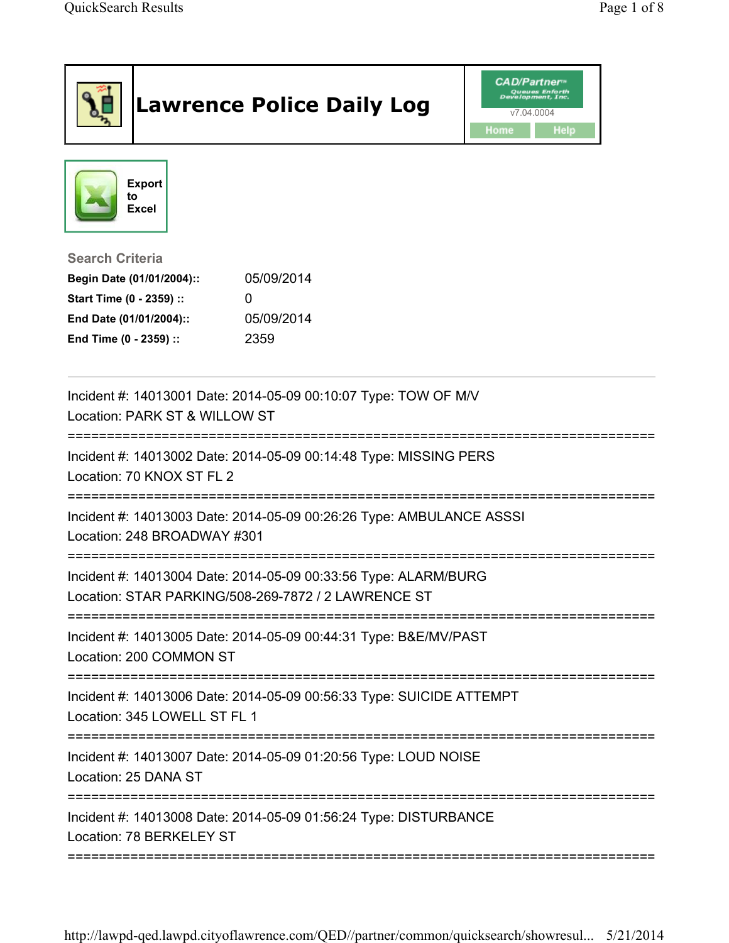|                                                                                                                                      | <b>Lawrence Police Daily Log</b>                                     | <b>CAD/Partner</b> "<br>v7.04.0004<br>Home<br><b>Help</b> |
|--------------------------------------------------------------------------------------------------------------------------------------|----------------------------------------------------------------------|-----------------------------------------------------------|
| <b>Export</b><br>to<br><b>Excel</b>                                                                                                  |                                                                      |                                                           |
| <b>Search Criteria</b><br>Begin Date (01/01/2004)::<br>Start Time (0 - 2359) ::<br>End Date (01/01/2004)::<br>End Time (0 - 2359) :: | 05/09/2014<br>0<br>05/09/2014<br>2359                                |                                                           |
| Location: PARK ST & WILLOW ST                                                                                                        | Incident #: 14013001 Date: 2014-05-09 00:10:07 Type: TOW OF M/V      |                                                           |
| Location: 70 KNOX ST FL 2                                                                                                            | Incident #: 14013002 Date: 2014-05-09 00:14:48 Type: MISSING PERS    |                                                           |
| Location: 248 BROADWAY #301                                                                                                          | Incident #: 14013003 Date: 2014-05-09 00:26:26 Type: AMBULANCE ASSSI |                                                           |
| Incident #: 14013004 Date: 2014-05-09 00:33:56 Type: ALARM/BURG<br>Location: STAR PARKING/508-269-7872 / 2 LAWRENCE ST               |                                                                      |                                                           |
| Location: 200 COMMON ST                                                                                                              | Incident #: 14013005 Date: 2014-05-09 00:44:31 Type: B&E/MV/PAST     |                                                           |
| Location: 345 LOWELL ST FL 1                                                                                                         | Incident #: 14013006 Date: 2014-05-09 00:56:33 Type: SUICIDE ATTEMPT |                                                           |
| Location: 25 DANA ST                                                                                                                 | Incident #: 14013007 Date: 2014-05-09 01:20:56 Type: LOUD NOISE      |                                                           |
| Location: 78 BERKELEY ST                                                                                                             | Incident #: 14013008 Date: 2014-05-09 01:56:24 Type: DISTURBANCE     |                                                           |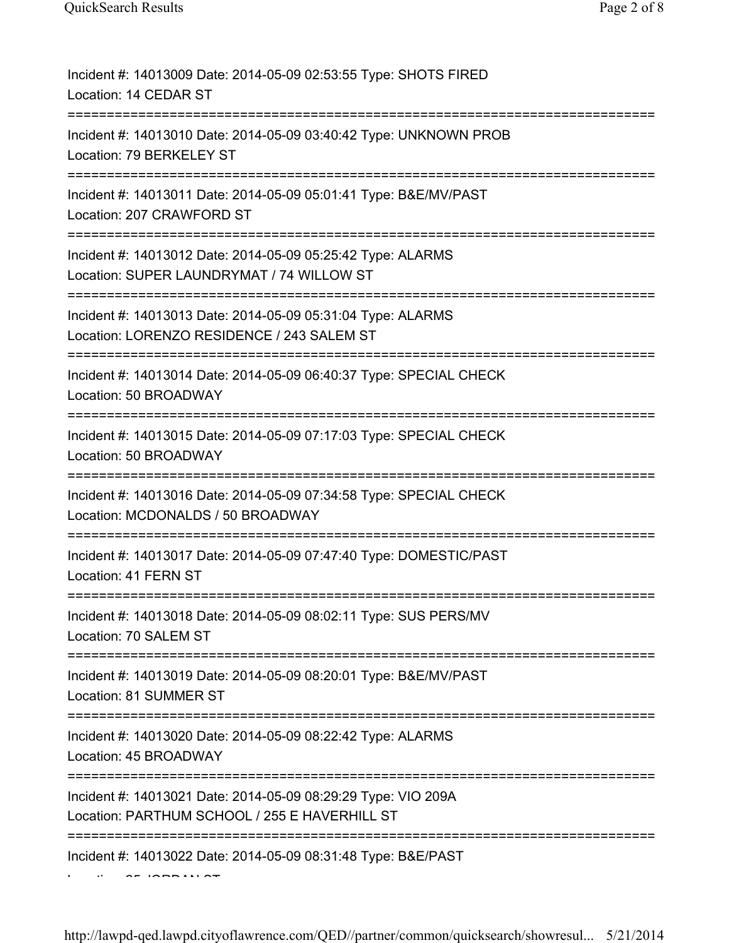| Incident #: 14013009 Date: 2014-05-09 02:53:55 Type: SHOTS FIRED<br>Location: 14 CEDAR ST                                                |
|------------------------------------------------------------------------------------------------------------------------------------------|
| Incident #: 14013010 Date: 2014-05-09 03:40:42 Type: UNKNOWN PROB<br>Location: 79 BERKELEY ST                                            |
| Incident #: 14013011 Date: 2014-05-09 05:01:41 Type: B&E/MV/PAST<br>Location: 207 CRAWFORD ST                                            |
| Incident #: 14013012 Date: 2014-05-09 05:25:42 Type: ALARMS<br>Location: SUPER LAUNDRYMAT / 74 WILLOW ST<br>============================ |
| Incident #: 14013013 Date: 2014-05-09 05:31:04 Type: ALARMS<br>Location: LORENZO RESIDENCE / 243 SALEM ST                                |
| Incident #: 14013014 Date: 2014-05-09 06:40:37 Type: SPECIAL CHECK<br>Location: 50 BROADWAY                                              |
| Incident #: 14013015 Date: 2014-05-09 07:17:03 Type: SPECIAL CHECK<br>Location: 50 BROADWAY                                              |
| Incident #: 14013016 Date: 2014-05-09 07:34:58 Type: SPECIAL CHECK<br>Location: MCDONALDS / 50 BROADWAY                                  |
| Incident #: 14013017 Date: 2014-05-09 07:47:40 Type: DOMESTIC/PAST<br>Location: 41 FERN ST                                               |
| Incident #: 14013018 Date: 2014-05-09 08:02:11 Type: SUS PERS/MV<br>Location: 70 SALEM ST<br>==============                              |
| Incident #: 14013019 Date: 2014-05-09 08:20:01 Type: B&E/MV/PAST<br>Location: 81 SUMMER ST                                               |
| Incident #: 14013020 Date: 2014-05-09 08:22:42 Type: ALARMS<br>Location: 45 BROADWAY                                                     |
| Incident #: 14013021 Date: 2014-05-09 08:29:29 Type: VIO 209A<br>Location: PARTHUM SCHOOL / 255 E HAVERHILL ST                           |
| Incident #: 14013022 Date: 2014-05-09 08:31:48 Type: B&E/PAST                                                                            |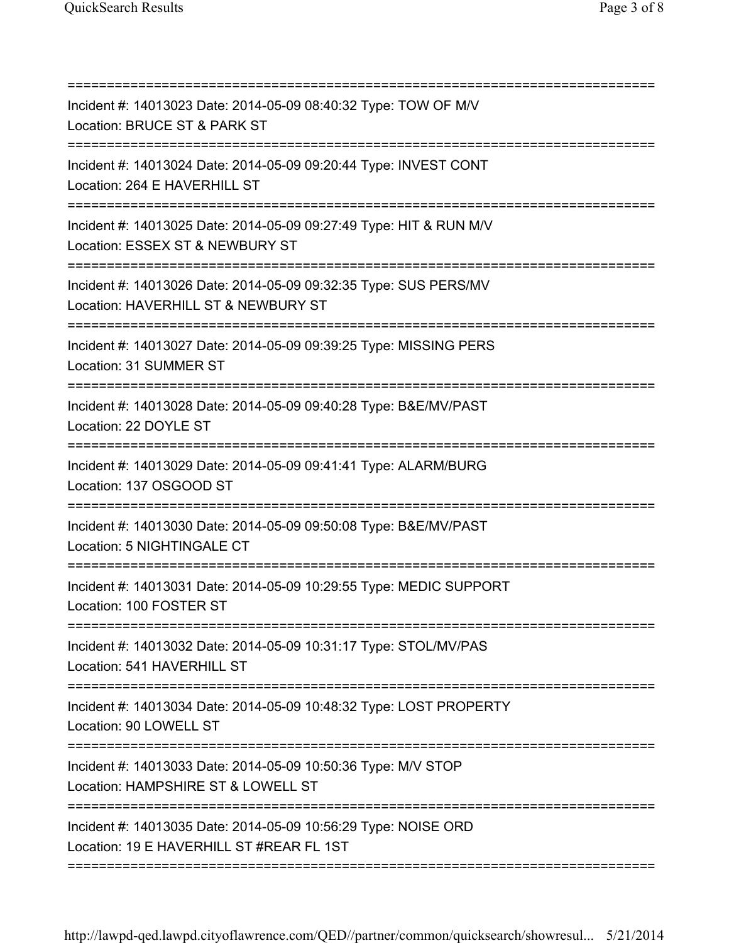| Incident #: 14013023 Date: 2014-05-09 08:40:32 Type: TOW OF M/V<br>Location: BRUCE ST & PARK ST                                |
|--------------------------------------------------------------------------------------------------------------------------------|
| Incident #: 14013024 Date: 2014-05-09 09:20:44 Type: INVEST CONT<br>Location: 264 E HAVERHILL ST                               |
| Incident #: 14013025 Date: 2014-05-09 09:27:49 Type: HIT & RUN M/V<br>Location: ESSEX ST & NEWBURY ST                          |
| Incident #: 14013026 Date: 2014-05-09 09:32:35 Type: SUS PERS/MV<br>Location: HAVERHILL ST & NEWBURY ST                        |
| Incident #: 14013027 Date: 2014-05-09 09:39:25 Type: MISSING PERS<br>Location: 31 SUMMER ST                                    |
| =================================<br>Incident #: 14013028 Date: 2014-05-09 09:40:28 Type: B&E/MV/PAST<br>Location: 22 DOYLE ST |
| Incident #: 14013029 Date: 2014-05-09 09:41:41 Type: ALARM/BURG<br>Location: 137 OSGOOD ST                                     |
| Incident #: 14013030 Date: 2014-05-09 09:50:08 Type: B&E/MV/PAST<br>Location: 5 NIGHTINGALE CT                                 |
| Incident #: 14013031 Date: 2014-05-09 10:29:55 Type: MEDIC SUPPORT<br>Location: 100 FOSTER ST                                  |
| Incident #: 14013032 Date: 2014-05-09 10:31:17 Type: STOL/MV/PAS<br>Location: 541 HAVERHILL ST                                 |
| Incident #: 14013034 Date: 2014-05-09 10:48:32 Type: LOST PROPERTY<br>Location: 90 LOWELL ST                                   |
| Incident #: 14013033 Date: 2014-05-09 10:50:36 Type: M/V STOP<br>Location: HAMPSHIRE ST & LOWELL ST                            |
| Incident #: 14013035 Date: 2014-05-09 10:56:29 Type: NOISE ORD<br>Location: 19 E HAVERHILL ST #REAR FL 1ST                     |

===========================================================================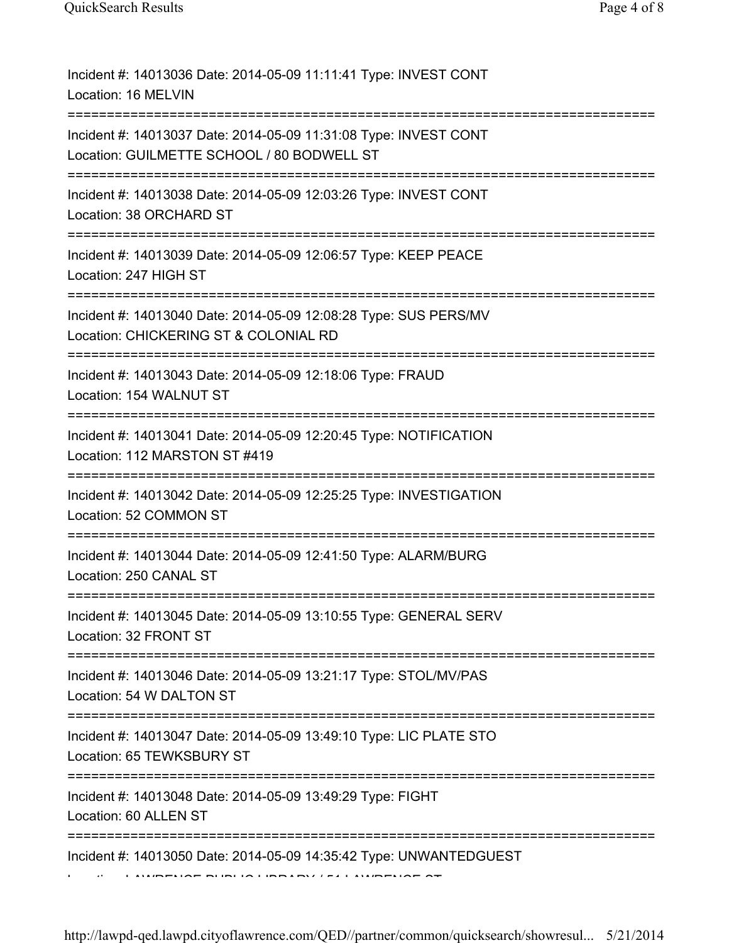| Incident #: 14013036 Date: 2014-05-09 11:11:41 Type: INVEST CONT<br>Location: 16 MELVIN                                                                                |
|------------------------------------------------------------------------------------------------------------------------------------------------------------------------|
| Incident #: 14013037 Date: 2014-05-09 11:31:08 Type: INVEST CONT<br>Location: GUILMETTE SCHOOL / 80 BODWELL ST                                                         |
| Incident #: 14013038 Date: 2014-05-09 12:03:26 Type: INVEST CONT<br>Location: 38 ORCHARD ST                                                                            |
| Incident #: 14013039 Date: 2014-05-09 12:06:57 Type: KEEP PEACE<br>Location: 247 HIGH ST<br>================================                                           |
| Incident #: 14013040 Date: 2014-05-09 12:08:28 Type: SUS PERS/MV<br>Location: CHICKERING ST & COLONIAL RD                                                              |
| Incident #: 14013043 Date: 2014-05-09 12:18:06 Type: FRAUD<br>Location: 154 WALNUT ST                                                                                  |
| Incident #: 14013041 Date: 2014-05-09 12:20:45 Type: NOTIFICATION<br>Location: 112 MARSTON ST #419<br>======================                                           |
| Incident #: 14013042 Date: 2014-05-09 12:25:25 Type: INVESTIGATION<br>Location: 52 COMMON ST                                                                           |
| Incident #: 14013044 Date: 2014-05-09 12:41:50 Type: ALARM/BURG<br>Location: 250 CANAL ST                                                                              |
| Incident #: 14013045 Date: 2014-05-09 13:10:55 Type: GENERAL SERV<br>Location: 32 FRONT ST                                                                             |
| Incident #: 14013046 Date: 2014-05-09 13:21:17 Type: STOL/MV/PAS<br>Location: 54 W DALTON ST                                                                           |
| Incident #: 14013047 Date: 2014-05-09 13:49:10 Type: LIC PLATE STO<br>Location: 65 TEWKSBURY ST                                                                        |
| Incident #: 14013048 Date: 2014-05-09 13:49:29 Type: FIGHT<br>Location: 60 ALLEN ST                                                                                    |
| Incident #: 14013050 Date: 2014-05-09 14:35:42 Type: UNWANTEDGUEST<br>$\overline{a}$ . The substant $\overline{a}$ is the set $\overline{a}$ is the set $\overline{a}$ |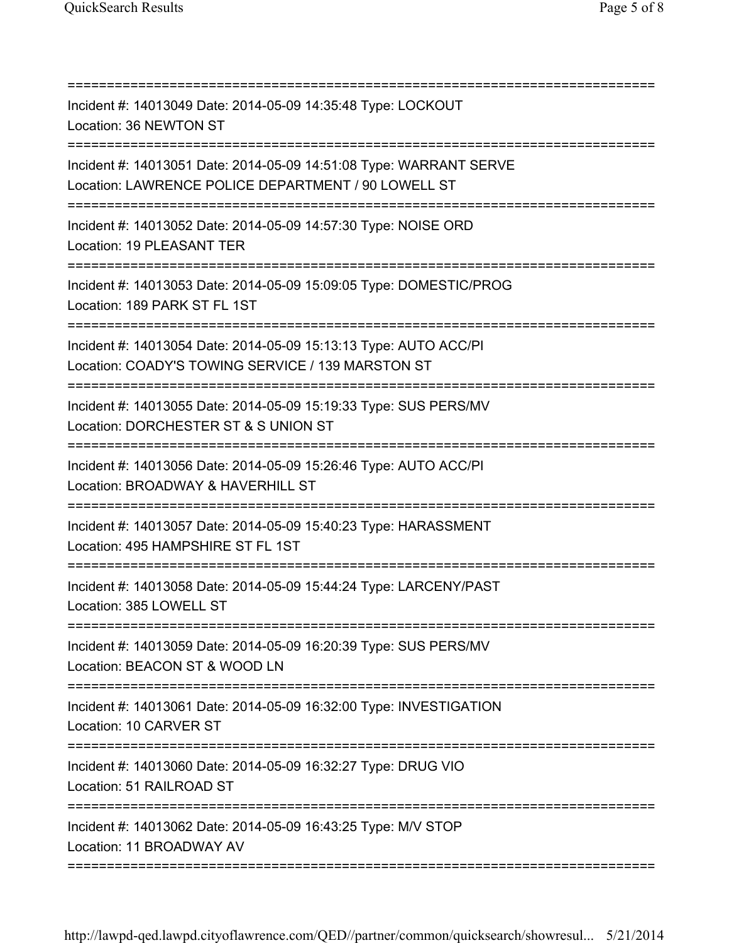| Incident #: 14013049 Date: 2014-05-09 14:35:48 Type: LOCKOUT<br>Location: 36 NEWTON ST<br>====================================     |
|------------------------------------------------------------------------------------------------------------------------------------|
| Incident #: 14013051 Date: 2014-05-09 14:51:08 Type: WARRANT SERVE<br>Location: LAWRENCE POLICE DEPARTMENT / 90 LOWELL ST          |
| Incident #: 14013052 Date: 2014-05-09 14:57:30 Type: NOISE ORD<br>Location: 19 PLEASANT TER                                        |
| Incident #: 14013053 Date: 2014-05-09 15:09:05 Type: DOMESTIC/PROG<br>Location: 189 PARK ST FL 1ST                                 |
| Incident #: 14013054 Date: 2014-05-09 15:13:13 Type: AUTO ACC/PI<br>Location: COADY'S TOWING SERVICE / 139 MARSTON ST              |
| Incident #: 14013055 Date: 2014-05-09 15:19:33 Type: SUS PERS/MV<br>Location: DORCHESTER ST & S UNION ST                           |
| Incident #: 14013056 Date: 2014-05-09 15:26:46 Type: AUTO ACC/PI<br>Location: BROADWAY & HAVERHILL ST                              |
| Incident #: 14013057 Date: 2014-05-09 15:40:23 Type: HARASSMENT<br>Location: 495 HAMPSHIRE ST FL 1ST<br>========================== |
| Incident #: 14013058 Date: 2014-05-09 15:44:24 Type: LARCENY/PAST<br>Location: 385 LOWELL ST                                       |
| Incident #: 14013059 Date: 2014-05-09 16:20:39 Type: SUS PERS/MV<br>Location: BEACON ST & WOOD LN                                  |
| Incident #: 14013061 Date: 2014-05-09 16:32:00 Type: INVESTIGATION<br>Location: 10 CARVER ST                                       |
| Incident #: 14013060 Date: 2014-05-09 16:32:27 Type: DRUG VIO<br>Location: 51 RAILROAD ST                                          |
| Incident #: 14013062 Date: 2014-05-09 16:43:25 Type: M/V STOP<br>Location: 11 BROADWAY AV                                          |

===========================================================================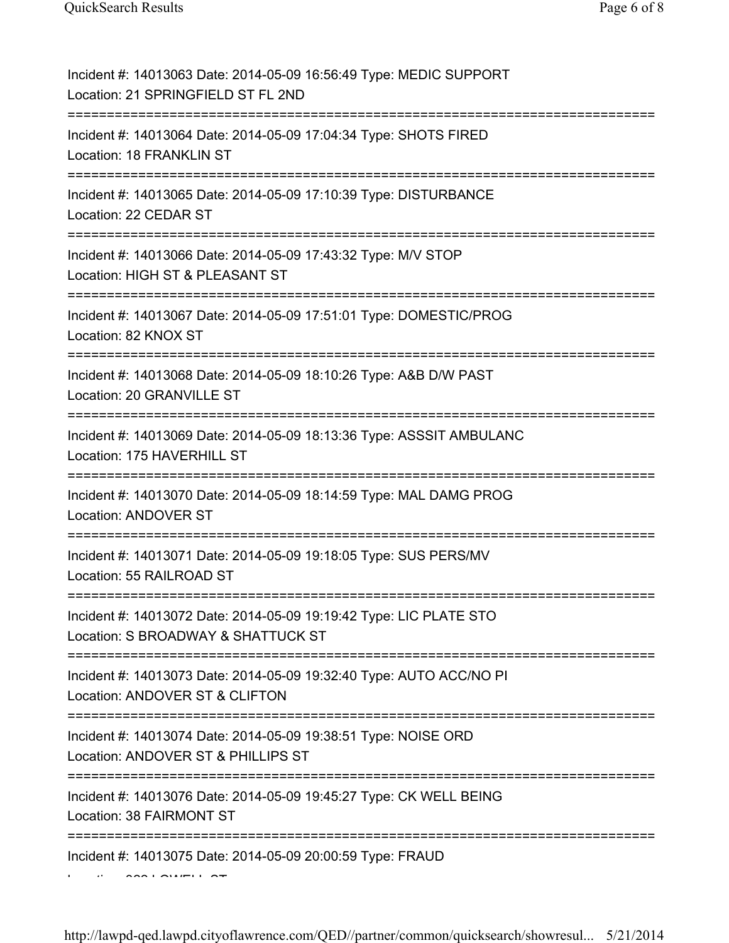| Incident #: 14013063 Date: 2014-05-09 16:56:49 Type: MEDIC SUPPORT<br>Location: 21 SPRINGFIELD ST FL 2ND                       |
|--------------------------------------------------------------------------------------------------------------------------------|
| Incident #: 14013064 Date: 2014-05-09 17:04:34 Type: SHOTS FIRED<br>Location: 18 FRANKLIN ST                                   |
| Incident #: 14013065 Date: 2014-05-09 17:10:39 Type: DISTURBANCE<br>Location: 22 CEDAR ST                                      |
| Incident #: 14013066 Date: 2014-05-09 17:43:32 Type: M/V STOP<br>Location: HIGH ST & PLEASANT ST                               |
| Incident #: 14013067 Date: 2014-05-09 17:51:01 Type: DOMESTIC/PROG<br>Location: 82 KNOX ST                                     |
| Incident #: 14013068 Date: 2014-05-09 18:10:26 Type: A&B D/W PAST<br>Location: 20 GRANVILLE ST                                 |
| Incident #: 14013069 Date: 2014-05-09 18:13:36 Type: ASSSIT AMBULANC<br>Location: 175 HAVERHILL ST                             |
| Incident #: 14013070 Date: 2014-05-09 18:14:59 Type: MAL DAMG PROG<br>Location: ANDOVER ST                                     |
| Incident #: 14013071 Date: 2014-05-09 19:18:05 Type: SUS PERS/MV<br>Location: 55 RAILROAD ST                                   |
| Incident #: 14013072 Date: 2014-05-09 19:19:42 Type: LIC PLATE STO<br>Location: S BROADWAY & SHATTUCK ST                       |
| Incident #: 14013073 Date: 2014-05-09 19:32:40 Type: AUTO ACC/NO PI<br>Location: ANDOVER ST & CLIFTON                          |
| ======================<br>Incident #: 14013074 Date: 2014-05-09 19:38:51 Type: NOISE ORD<br>Location: ANDOVER ST & PHILLIPS ST |
| Incident #: 14013076 Date: 2014-05-09 19:45:27 Type: CK WELL BEING<br>Location: 38 FAIRMONT ST                                 |
| Incident #: 14013075 Date: 2014-05-09 20:00:59 Type: FRAUD                                                                     |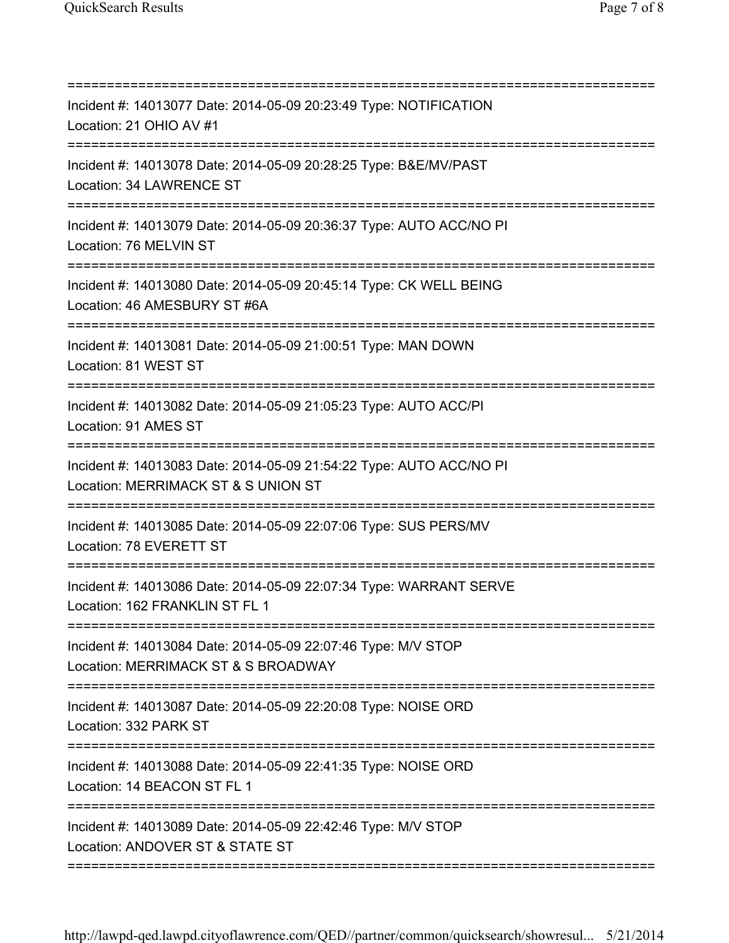| Incident #: 14013077 Date: 2014-05-09 20:23:49 Type: NOTIFICATION<br>Location: 21 OHIO AV #1               |
|------------------------------------------------------------------------------------------------------------|
| Incident #: 14013078 Date: 2014-05-09 20:28:25 Type: B&E/MV/PAST<br>Location: 34 LAWRENCE ST               |
| Incident #: 14013079 Date: 2014-05-09 20:36:37 Type: AUTO ACC/NO PI<br>Location: 76 MELVIN ST              |
| Incident #: 14013080 Date: 2014-05-09 20:45:14 Type: CK WELL BEING<br>Location: 46 AMESBURY ST #6A         |
| Incident #: 14013081 Date: 2014-05-09 21:00:51 Type: MAN DOWN<br>Location: 81 WEST ST                      |
| Incident #: 14013082 Date: 2014-05-09 21:05:23 Type: AUTO ACC/PI<br>Location: 91 AMES ST                   |
| Incident #: 14013083 Date: 2014-05-09 21:54:22 Type: AUTO ACC/NO PI<br>Location: MERRIMACK ST & S UNION ST |
| Incident #: 14013085 Date: 2014-05-09 22:07:06 Type: SUS PERS/MV<br>Location: 78 EVERETT ST                |
| Incident #: 14013086 Date: 2014-05-09 22:07:34 Type: WARRANT SERVE<br>Location: 162 FRANKLIN ST FL 1       |
| Incident #: 14013084 Date: 2014-05-09 22:07:46 Type: M/V STOP<br>Location: MERRIMACK ST & S BROADWAY       |
| Incident #: 14013087 Date: 2014-05-09 22:20:08 Type: NOISE ORD<br>Location: 332 PARK ST                    |
| Incident #: 14013088 Date: 2014-05-09 22:41:35 Type: NOISE ORD<br>Location: 14 BEACON ST FL 1              |
| Incident #: 14013089 Date: 2014-05-09 22:42:46 Type: M/V STOP<br>Location: ANDOVER ST & STATE ST           |

===========================================================================